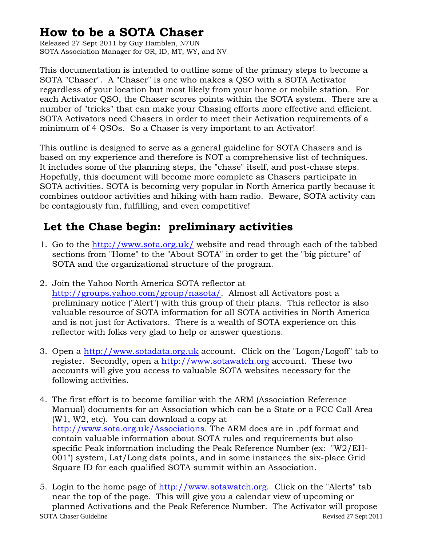## **How to be a SOTA Chaser**

Released 27 Sept 2011 by Guy Hamblen, N7UN SOTA Association Manager for OR, ID, MT, WY, and NV

This documentation is intended to outline some of the primary steps to become a SOTA "Chaser". A "Chaser" is one who makes a QSO with a SOTA Activator regardless of your location but most likely from your home or mobile station. For each Activator QSO, the Chaser scores points within the SOTA system. There are a number of "tricks" that can make your Chasing efforts more effective and efficient. SOTA Activators need Chasers in order to meet their Activation requirements of a minimum of 4 QSOs. So a Chaser is very important to an Activator!

This outline is designed to serve as a general guideline for SOTA Chasers and is based on my experience and therefore is NOT a comprehensive list of techniques. It includes some of the planning steps, the "chase" itself, and post-chase steps. Hopefully, this document will become more complete as Chasers participate in SOTA activities. SOTA is becoming very popular in North America partly because it combines outdoor activities and hiking with ham radio. Beware, SOTA activity can be contagiously fun, fulfilling, and even competitive!

## **Let the Chase begin: preliminary activities**

- 1. Go to the<http://www.sota.org.uk/>website and read through each of the tabbed sections from "Home" to the "About SOTA" in order to get the "big picture" of SOTA and the organizational structure of the program.
- 2. Join the Yahoo North America SOTA reflector at <http://groups.yahoo.com/group/nasota/>. Almost all Activators post a preliminary notice ("Alert") with this group of their plans. This reflector is also valuable resource of SOTA information for all SOTA activities in North America and is not just for Activators. There is a wealth of SOTA experience on this reflector with folks very glad to help or answer questions.
- 3. Open a [http://www.sotadata.org.uk](http://www.sotadata.org.uk/) account. Click on the "Logon/Logoff" tab to register. Secondly, open a [http://www.sotawatch.org](http://www.sotawatch.org/) account. These two accounts will give you access to valuable SOTA websites necessary for the following activities.
- 4. The first effort is to become familiar with the ARM (Association Reference Manual) documents for an Association which can be a State or a FCC Call Area (W1, W2, etc). You can download a copy at [http://www.sota.org.uk/Associations.](http://www.sota.org.uk/Associations) The ARM docs are in .pdf format and contain valuable information about SOTA rules and requirements but also specific Peak information including the Peak Reference Number (ex: "W2/EH-001") system, Lat/Long data points, and in some instances the six-place Grid Square ID for each qualified SOTA summit within an Association.
- SOTA Chaser Guideline **Revised 27 Sept 2011** 5. Login to the home page of [http://www.sotawatch.org.](http://www.sotawatch.org/) Click on the "Alerts" tab near the top of the page. This will give you a calendar view of upcoming or planned Activations and the Peak Reference Number. The Activator will propose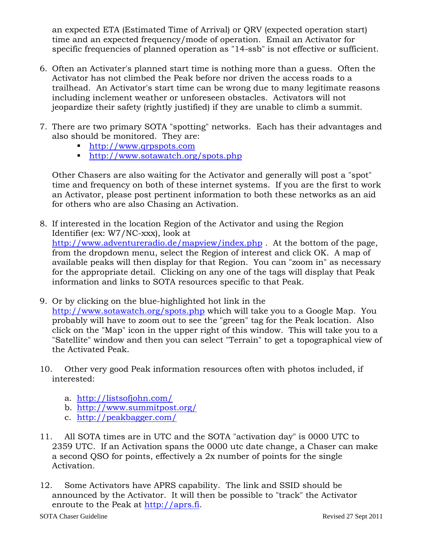an expected ETA (Estimated Time of Arrival) or QRV (expected operation start) time and an expected frequency/mode of operation. Email an Activator for specific frequencies of planned operation as "14-ssb" is not effective or sufficient.

- 6. Often an Activater's planned start time is nothing more than a guess. Often the Activator has not climbed the Peak before nor driven the access roads to a trailhead. An Activator's start time can be wrong due to many legitimate reasons including inclement weather or unforeseen obstacles. Activators will not jeopardize their safety (rightly justified) if they are unable to climb a summit.
- 7. There are two primary SOTA "spotting" networks. Each has their advantages and also should be monitored. They are:
	- [http://www.qrpspots.com](http://www.qrpspots.com/)
	- <http://www.sotawatch.org/spots.php>

Other Chasers are also waiting for the Activator and generally will post a "spot" time and frequency on both of these internet systems. If you are the first to work an Activator, please post pertinent information to both these networks as an aid for others who are also Chasing an Activation.

- 8. If interested in the location Region of the Activator and using the Region Identifier (ex: W7/NC-xxx), look at <http://www.adventureradio.de/mapview/index.php>. At the bottom of the page, from the dropdown menu, select the Region of interest and click OK. A map of available peaks will then display for that Region. You can "zoom in" as necessary for the appropriate detail. Clicking on any one of the tags will display that Peak information and links to SOTA resources specific to that Peak.
- 9. Or by clicking on the blue-highlighted hot link in the <http://www.sotawatch.org/spots.php> which will take you to a Google Map. You probably will have to zoom out to see the "green" tag for the Peak location. Also click on the "Map" icon in the upper right of this window. This will take you to a "Satellite" window and then you can select "Terrain" to get a topographical view of the Activated Peak.
- 10. Other very good Peak information resources often with photos included, if interested:
	- a. <http://listsofjohn.com/>
	- b. <http://www.summitpost.org/>
	- c. <http://peakbagger.com/>
- 11. All SOTA times are in UTC and the SOTA "activation day" is 0000 UTC to 2359 UTC. If an Activation spans the 0000 utc date change, a Chaser can make a second QSO for points, effectively a 2x number of points for the single Activation.
- 12. Some Activators have APRS capability. The link and SSID should be announced by the Activator. It will then be possible to "track" the Activator enroute to the Peak at [http://aprs.fi](http://aprs.fi/).